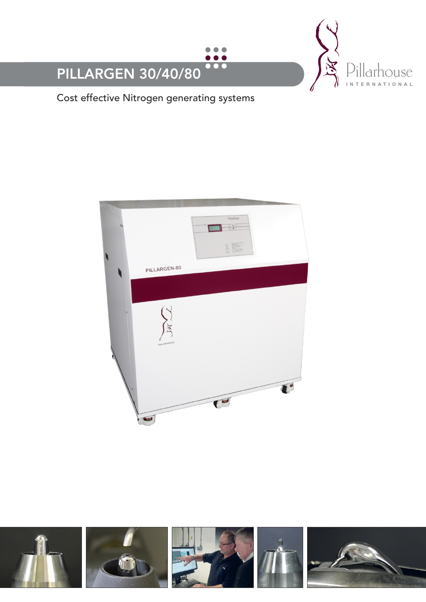

Cost effective Nitrogen generating systems